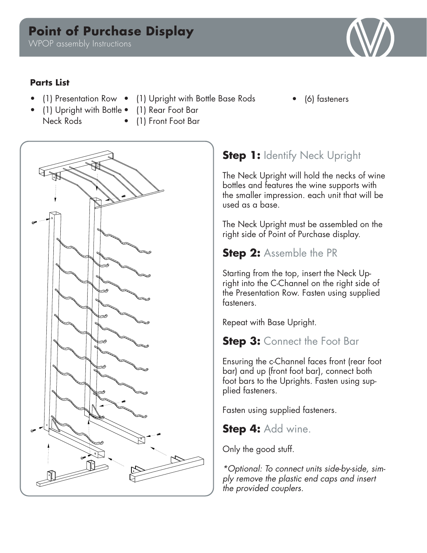# **Point of Purchase Display**

WPOP assembly Instructions

#### **Parts List**

Neck Rods

- (1) Presentation Row (1) Upright with Bottle Base Rods
- (6) fasteners
- (1) Upright with Bottle (1) Rear Foot Bar
	- (1) Front Foot Bar



## **Step 1: Identify Neck Upright**

The Neck Upright will hold the necks of wine bottles and features the wine supports with the smaller impression. each unit that will be used as a base.

The Neck Upright must be assembled on the right side of Point of Purchase display.

### **Step 2:** Assemble the PR

Starting from the top, insert the Neck Upright into the C-Channel on the right side of the Presentation Row. Fasten using supplied fasteners.

Repeat with Base Upright.

### **Step 3: Connect the Foot Bar**

Ensuring the c-Channel faces front (rear foot bar) and up (front foot bar), connect both foot bars to the Uprights. Fasten using supplied fasteners.

Fasten using supplied fasteners.

**Step 4:** Add wine.

Only the good stuff.

*\*Optional: To connect units side-by-side, simply remove the plastic end caps and insert the provided couplers.*